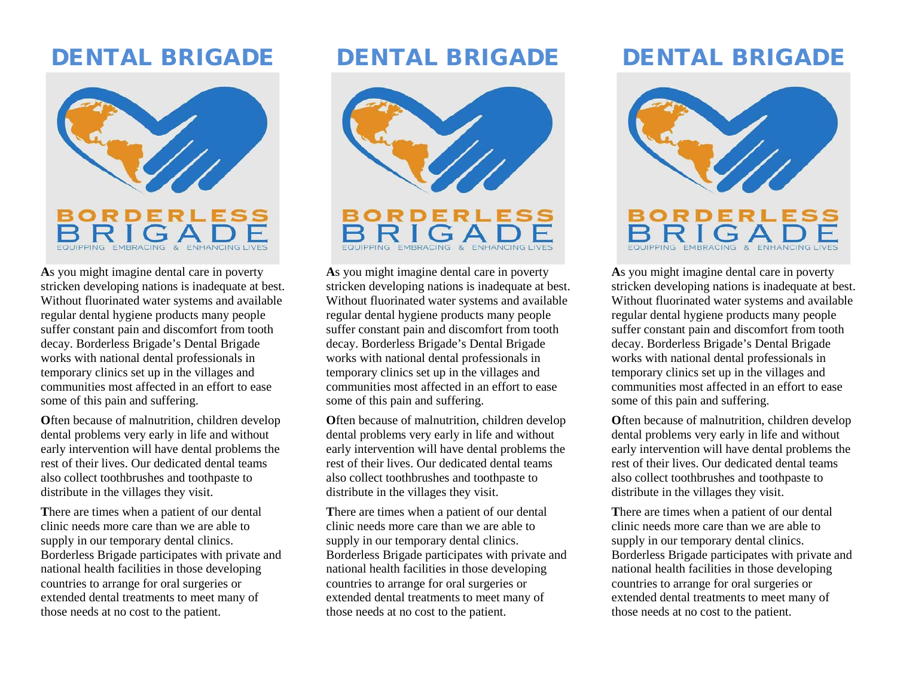## DENTAL BRIGADE



**A**s you might imagine dental care in poverty stricken developing nations is inadequate at best. Without fluorinated water systems and available regular dental hygiene products many people suffer constant pain and discomfort from tooth decay. Borderless Brigade's Dental Brigade works with national dental professionals in temporary clinics set up in the villages and communities most affected in an effort to ease some of this pain and suffering.

**O**ften because of malnutrition, children develop dental problems very early in life and without early intervention will have dental problems the rest of their lives. Our dedicated dental teams also collect toothbrushes and toothpaste to distribute in the villages they visit.

**T**here are times when a patient of our dental clinic needs more care than we are able to supply in our temporary dental clinics. Borderless Brigade participates with private and national health facilities in those developing countries to arrange for oral surgeries or extended dental treatments to meet many of those needs at no cost to the patient.

## DENTAL BRIGADE



**A**s you might imagine dental care in poverty stricken developing nations is inadequate at best. Without fluorinated water systems and available regular dental hygiene products many people suffer constant pain and discomfort from tooth decay. Borderless Brigade's Dental Brigade works with national dental professionals in temporary clinics set up in the villages and communities most affected in an effort to ease some of this pain and suffering.

**O**ften because of malnutrition, children develop dental problems very early in life and without early intervention will have dental problems the rest of their lives. Our dedicated dental teams also collect toothbrushes and toothpaste to distribute in the villages they visit.

**T**here are times when a patient of our dental clinic needs more care than we are able to supply in our temporary dental clinics. Borderless Brigade participates with private and national health facilities in those developing countries to arrange for oral surgeries or extended dental treatments to meet many of those needs at no cost to the patient.

# DENTAL BRIGADE



**A**s you might imagine dental care in poverty stricken developing nations is inadequate at best. Without fluorinated water systems and available regular dental hygiene products many people suffer constant pain and discomfort from tooth decay. Borderless Brigade's Dental Brigade works with national dental professionals in temporary clinics set up in the villages and communities most affected in an effort to ease some of this pain and suffering.

**Often because of malnutrition, children develop** dental problems very early in life and without early intervention will have dental problems the rest of their lives. Our dedicated dental teams also collect toothbrushes and toothpaste to distribute in the villages they visit.

**T**here are times when a patient of our dental clinic needs more care than we are able to supply in our temporary dental clinics. Borderless Brigade participates with private and national health facilities in those developing countries to arrange for oral surgeries or extended dental treatments to meet many of those needs at no cost to the patient.